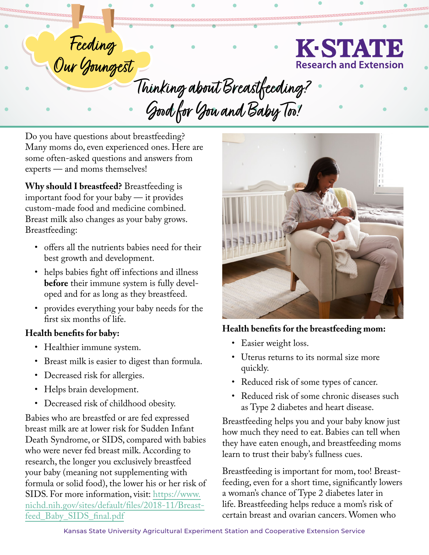

Feeding<br>Our Youngest Our Youngest<br>7 Thinking about Breastfeeding? Good for You and Baby Too!

Do you have questions about breastfeeding? Many moms do, even experienced ones. Here are some often-asked questions and answers from experts — and moms themselves!

**Why should I breastfeed?** Breastfeeding is important food for your baby — it provides custom-made food and medicine combined. Breast milk also changes as your baby grows. Breastfeeding:

- offers all the nutrients babies need for their best growth and development.
- helps babies fight off infections and illness **before** their immune system is fully developed and for as long as they breastfeed.
- provides everything your baby needs for the first six months of life.

### **Health benefits for baby:**

- Healthier immune system.
- Breast milk is easier to digest than formula.
- Decreased risk for allergies.
- Helps brain development.
- Decreased risk of childhood obesity.

Babies who are breastfed or are fed expressed breast milk are at lower risk for Sudden Infant Death Syndrome, or SIDS, compared with babies who were never fed breast milk. According to research, the longer you exclusively breastfeed your baby (meaning not supplementing with formula or solid food), the lower his or her risk of SIDS. For more information, visit: [https://www.](https://www.nichd.nih.gov/sites/default/files/2018-11/Breastfeed_Baby_SIDS_final.pdf) [nichd.nih.gov/sites/default/files/2018-11/Breast](https://www.nichd.nih.gov/sites/default/files/2018-11/Breastfeed_Baby_SIDS_final.pdf)[feed\\_Baby\\_SIDS\\_final.pdf](https://www.nichd.nih.gov/sites/default/files/2018-11/Breastfeed_Baby_SIDS_final.pdf)



## **Health benefits for the breastfeeding mom:**

- Easier weight loss.
- Uterus returns to its normal size more quickly.
- Reduced risk of some types of cancer.
- Reduced risk of some chronic diseases such as Type 2 diabetes and heart disease.

Breastfeeding helps you and your baby know just how much they need to eat. Babies can tell when they have eaten enough, and breastfeeding moms learn to trust their baby's fullness cues.

Breastfeeding is important for mom, too! Breastfeeding, even for a short time, significantly lowers a woman's chance of Type 2 diabetes later in life. Breastfeeding helps reduce a mom's risk of certain breast and ovarian cancers. Women who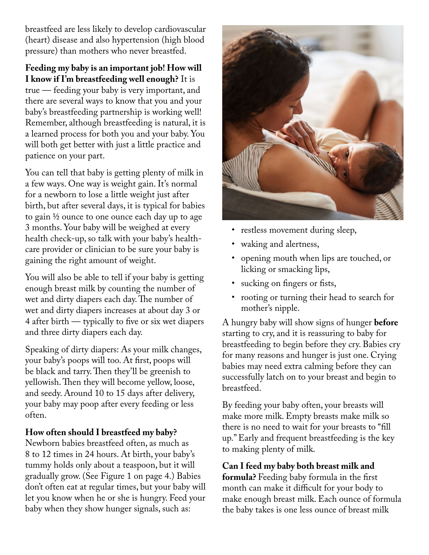breastfeed are less likely to develop cardiovascular (heart) disease and also hypertension (high blood pressure) than mothers who never breastfed.

# **Feeding my baby is an important job! How will I know if I'm breastfeeding well enough?** It is

true — feeding your baby is very important, and there are several ways to know that you and your baby's breastfeeding partnership is working well! Remember, although breastfeeding is natural, it is a learned process for both you and your baby. You will both get better with just a little practice and patience on your part.

You can tell that baby is getting plenty of milk in a few ways. One way is weight gain. It's normal for a newborn to lose a little weight just after birth, but after several days, it is typical for babies to gain ½ ounce to one ounce each day up to age 3 months. Your baby will be weighed at every health check-up, so talk with your baby's healthcare provider or clinician to be sure your baby is gaining the right amount of weight.

You will also be able to tell if your baby is getting enough breast milk by counting the number of wet and dirty diapers each day. The number of wet and dirty diapers increases at about day 3 or 4 after birth — typically to five or six wet diapers and three dirty diapers each day.

Speaking of dirty diapers: As your [milk changes,](https://wicbreastfeeding.fns.usda.gov/phases-breast-milk) your baby's poops will too. At first, poops will be black and tarry. Then they'll be greenish to yellowish. Then they will become yellow, loose, and seedy. Around 10 to 15 days after delivery, your baby may poop after every feeding or less often.

### **How often should I breastfeed my baby?**

Newborn babies breastfeed often, as much as 8 to 12 times in 24 hours. At birth, your baby's tummy holds only about a teaspoon, but it will gradually grow. (See Figure 1 on page 4.) Babies don't often eat at regular times, but your baby will let you know when he or she is hungry. Feed your baby when they show hunger signals, such as:



- restless movement during sleep,
- waking and alertness,
- opening mouth when lips are touched, or licking or smacking lips,
- sucking on fingers or fists,
- rooting or turning their head to search for mother's nipple.

A hungry baby will show signs of hunger **before** starting to cry, and it is reassuring to baby for breastfeeding to begin before they cry. Babies cry for many reasons and hunger is just one. Crying babies may need extra calming before they can successfully latch on to your breast and begin to breastfeed.

By feeding your baby often, your breasts will make more milk. Empty breasts make milk so there is no need to wait for your breasts to "fill up." Early and frequent breastfeeding is the key to making plenty of milk.

**Can I feed my baby both breast milk and formula?** Feeding baby formula in the first month can make it difficult for your body to make enough breast milk. Each ounce of formula the baby takes is one less ounce of breast milk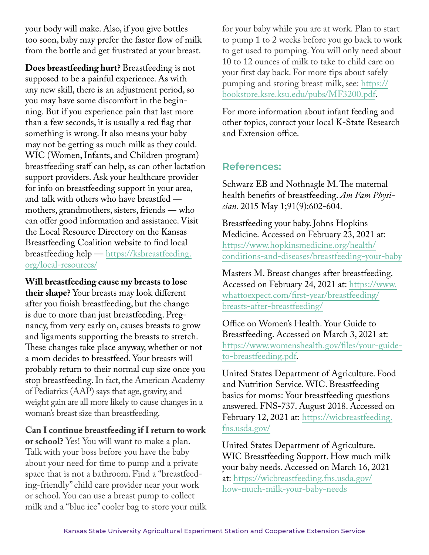your body will make. Also, if you give bottles too soon, baby may prefer the faster flow of milk from the bottle and get frustrated at your breast.

**Does breastfeeding hurt?** Breastfeeding is not supposed to be a painful experience. As with any new skill, there is an adjustment period, so you may have some discomfort in the beginning. But if you experience pain that last more than a few seconds, it is usually a red flag that something is wrong. It also means your baby may not be getting as much milk as they could. WIC (Women, Infants, and Children program) breastfeeding staff can help, as can other lactation support providers. Ask your healthcare provider for info on breastfeeding support in your area, and talk with others who have breastfed mothers, grandmothers, sisters, friends — who can offer good information and assistance. Visit the Local Resource Directory on the Kansas Breastfeeding Coalition website to find local breastfeeding help — [https://ksbreastfeeding.](https://ksbreastfeeding.org/local-resources/) [org/local-resources/](https://ksbreastfeeding.org/local-resources/)

**Will breastfeeding cause my breasts to lose their shape?** Your breasts may look different after you finish breastfeeding, but the change is due to more than just breastfeeding. Pregnancy, from very early on, causes breasts to grow and ligaments supporting the breasts to stretch. These changes take place anyway, whether or not a mom decides to breastfeed. Your breasts will probably return to their normal cup size once you stop breastfeeding. In fact, the American Academy of Pediatrics (AAP) says that age, gravity, and weight gain are all more likely to cause changes in a woman's breast size than breastfeeding.

**Can I continue breastfeeding if I return to work or school?** Yes! You will want to make a plan. Talk with your boss before you have the baby about your need for time to pump and a private space that is not a bathroom. Find a "breastfeeding-friendly" child care provider near your work or school. You can use a breast pump to collect milk and a "blue ice" cooler bag to store your milk

for your baby while you are at work. Plan to start to pump 1 to 2 weeks before you go back to work to get used to pumping. You will only need about 10 to 12 ounces of milk to take to child care on your first day back. For more tips about safely pumping and storing breast milk, see: [https://](https://bookstore.ksre.ksu.edu/pubs/MF3200.pdf) [bookstore.ksre.ksu.edu/pubs/MF3200.pdf](https://bookstore.ksre.ksu.edu/pubs/MF3200.pdf).

For more information about infant feeding and other topics, contact your local K-State Research and Extension office.

# **References:**

Schwarz EB and Nothnagle M. The maternal health benefits of breastfeeding. *Am Fam Physician.* 2015 May 1;91(9):602-604.

Breastfeeding your baby. Johns Hopkins Medicine. Accessed on February 23, 2021 at: [https://www.hopkinsmedicine.org/health/](https://www.hopkinsmedicine.org/health/conditions-and-diseases/breastfeeding-your-baby) [conditions-and-diseases/breastfeeding-your-baby](https://www.hopkinsmedicine.org/health/conditions-and-diseases/breastfeeding-your-baby) 

Masters M. Breast changes after breastfeeding. Accessed on February 24, 2021 at: [https://www.](https://www.whattoexpect.com/first-year/breastfeeding/breasts-after-breastfeeding/) [whattoexpect.com/first-year/breastfeeding/](https://www.whattoexpect.com/first-year/breastfeeding/breasts-after-breastfeeding/) [breasts-after-breastfeeding/](https://www.whattoexpect.com/first-year/breastfeeding/breasts-after-breastfeeding/)

Office on Women's Health. Your Guide to Breastfeeding. Accessed on March 3, 2021 at: [https://www.womenshealth.gov/files/your-guide](https://www.womenshealth.gov/files/your-guide-to-breastfeeding.pdf)[to-breastfeeding.pdf.](https://www.womenshealth.gov/files/your-guide-to-breastfeeding.pdf)

United States Department of Agriculture. Food and Nutrition Service. WIC. Breastfeeding basics for moms: Your breastfeeding questions answered. FNS-737. August 2018. Accessed on February 12, 2021 at: [https://wicbreastfeeding.](https://wicbreastfeeding.fns.usda.gov/) [fns.usda.gov/](https://wicbreastfeeding.fns.usda.gov/)

United States Department of Agriculture. WIC Breastfeeding Support. How much milk your baby needs. Accessed on March 16, 2021 at: [https://wicbreastfeeding.fns.usda.gov/](https://wicbreastfeeding.fns.usda.gov/how-much-milk-your-baby-needs) [how-much-milk-your-baby-needs](https://wicbreastfeeding.fns.usda.gov/how-much-milk-your-baby-needs)